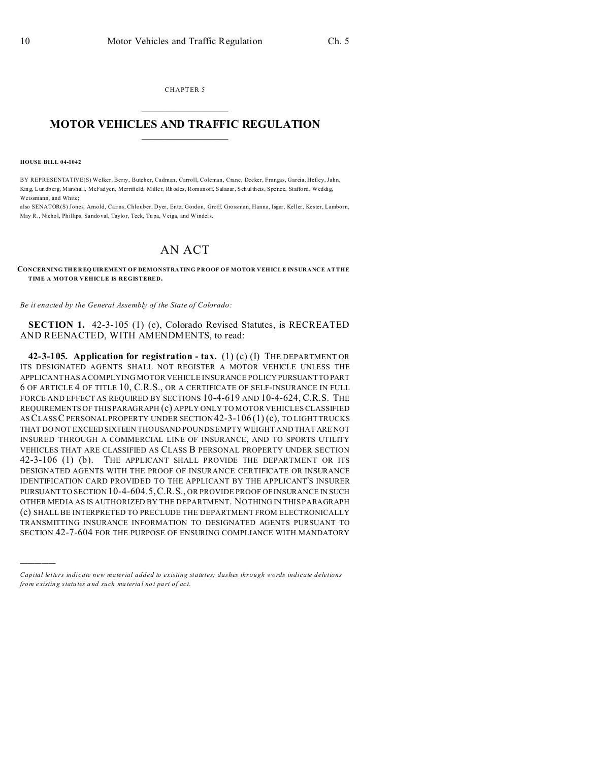CHAPTER 5  $\overline{\phantom{a}}$  , where  $\overline{\phantom{a}}$ 

## **MOTOR VEHICLES AND TRAFFIC REGULATION**  $\frac{1}{2}$  ,  $\frac{1}{2}$  ,  $\frac{1}{2}$  ,  $\frac{1}{2}$  ,  $\frac{1}{2}$  ,  $\frac{1}{2}$  ,  $\frac{1}{2}$

**HOUSE BILL 04-1042**

)))))

BY REPRESENTATIVE(S) Welker, Berry, Butcher, Cadman, Carroll, Coleman, Crane, Decker, Frangas, Garcia, Hefley, Jahn, Kin g, Lun db erg, Marshall, McFadyen, Merrifield, Miller, Rh od es, Romanoff, Salazar, Schultheis, Spenc e, Staffo rd, Weddig, Weissmann, and White;

also SENATOR(S) Jones, Arnold, Cairns, Chlouber, Dyer, Entz, Gordon, Groff, Grossman, Hanna, Isgar, Keller, Kester, Lamborn, May R., Nichol, Phillips, Sando val, Taylor, Teck, Tupa, Veiga, and Windels.

## AN ACT

**CONCERNING THE R EQ UIREMENT OF DEMONSTRATING PROOF OF MOTOR VEHICLE INSURANCE AT THE TIME A MOTOR VEHICLE IS REGISTERED.**

*Be it enacted by the General Assembly of the State of Colorado:*

**SECTION 1.** 42-3-105 (1) (c), Colorado Revised Statutes, is RECREATED AND REENACTED, WITH AMENDMENTS, to read:

**42-3-105. Application for registration - tax.** (1) (c) (I) THE DEPARTMENT OR ITS DESIGNATED AGENTS SHALL NOT REGISTER A MOTOR VEHICLE UNLESS THE APPLICANT HAS A COMPLYING MOTOR VEHICLE INSURANCE POLICY PURSUANTTO PART 6 OF ARTICLE 4 OF TITLE 10, C.R.S., OR A CERTIFICATE OF SELF-INSURANCE IN FULL FORCE AND EFFECT AS REQUIRED BY SECTIONS 10-4-619 AND 10-4-624, C.R.S. THE REQUIREMENTS OF THIS PARAGRAPH (c) APPLY ONLY TO MOTOR VEHICLES CLASSIFIED ASCLASS C PERSONAL PROPERTY UNDER SECTION 42-3-106 (1) (c), TO LIGHT TRUCKS THAT DO NOT EXCEED SIXTEEN THOUSAND POUNDS EMPTY WEIGHT AND THAT ARE NOT INSURED THROUGH A COMMERCIAL LINE OF INSURANCE, AND TO SPORTS UTILITY VEHICLES THAT ARE CLASSIFIED AS CLASS B PERSONAL PROPERTY UNDER SECTION 42-3-106 (1) (b). THE APPLICANT SHALL PROVIDE THE DEPARTMENT OR ITS DESIGNATED AGENTS WITH THE PROOF OF INSURANCE CERTIFICATE OR INSURANCE IDENTIFICATION CARD PROVIDED TO THE APPLICANT BY THE APPLICANT'S INSURER PURSUANT TO SECTION 10-4-604.5,C.R.S., OR PROVIDE PROOF OF INSURANCE IN SUCH OTHER MEDIA AS IS AUTHORIZED BY THE DEPARTMENT. NOTHING IN THIS PARAGRAPH (c) SHALL BE INTERPRETED TO PRECLUDE THE DEPARTMENT FROM ELECTRONICALLY TRANSMITTING INSURANCE INFORMATION TO DESIGNATED AGENTS PURSUANT TO SECTION 42-7-604 FOR THE PURPOSE OF ENSURING COMPLIANCE WITH MANDATORY

*Capital letters indicate new material added to existing statutes; dashes through words indicate deletions from e xistin g statu tes a nd such ma teria l no t pa rt of ac t.*